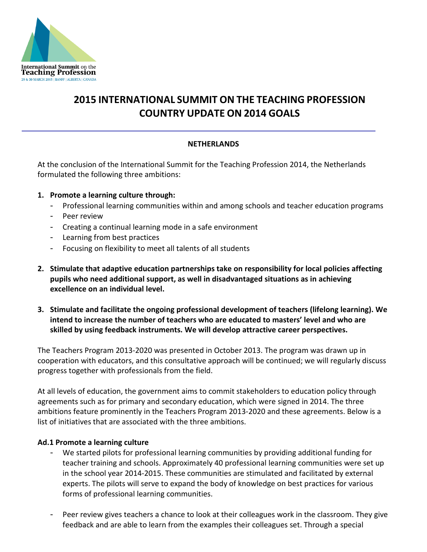

# **2015 INTERNATIONAL SUMMIT ON THE TEACHING PROFESSION COUNTRY UPDATE ON 2014 GOALS**

## **NETHERLANDS**

At the conclusion of the International Summit for the Teaching Profession 2014, the Netherlands formulated the following three ambitions:

- **1. Promote a learning culture through:**
	- Professional learning communities within and among schools and teacher education programs
	- Peer review
	- Creating a continual learning mode in a safe environment
	- Learning from best practices
	- Focusing on flexibility to meet all talents of all students
- **2. Stimulate that adaptive education partnerships take on responsibility for local policies affecting pupils who need additional support, as well in disadvantaged situations as in achieving excellence on an individual level.**
- **3. Stimulate and facilitate the ongoing professional development of teachers (lifelong learning). We intend to increase the number of teachers who are educated to masters' level and who are skilled by using feedback instruments. We will develop attractive career perspectives.**

The Teachers Program 2013‐2020 was presented in October 2013. The program was drawn up in cooperation with educators, and this consultative approach will be continued; we will regularly discuss progress together with professionals from the field.

At all levels of education, the government aims to commit stakeholders to education policy through agreements such as for primary and secondary education, which were signed in 2014. The three ambitions feature prominently in the Teachers Program 2013‐2020 and these agreements. Below is a list of initiatives that are associated with the three ambitions.

#### **Ad.1 Promote a learning culture**

- We started pilots for professional learning communities by providing additional funding for teacher training and schools. Approximately 40 professional learning communities were set up in the school year 2014-2015. These communities are stimulated and facilitated by external experts. The pilots will serve to expand the body of knowledge on best practices for various forms of professional learning communities.
- Peer review gives teachers a chance to look at their colleagues work in the classroom. They give feedback and are able to learn from the examples their colleagues set. Through a special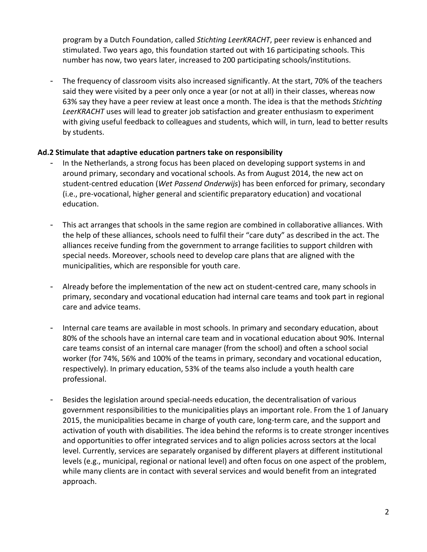program by a Dutch Foundation, called *Stichting LeerKRACHT*, peer review is enhanced and stimulated. Two years ago, this foundation started out with 16 participating schools. This number has now, two years later, increased to 200 participating schools/institutions.

The frequency of classroom visits also increased significantly. At the start, 70% of the teachers said they were visited by a peer only once a year (or not at all) in their classes, whereas now 63% say they have a peer review at least once a month. The idea is that the methods *Stichting LeerKRACHT* uses will lead to greater job satisfaction and greater enthusiasm to experiment with giving useful feedback to colleagues and students, which will, in turn, lead to better results by students.

## **Ad.2 Stimulate that adaptive education partners take on responsibility**

- In the Netherlands, a strong focus has been placed on developing support systems in and around primary, secondary and vocational schools. As from August 2014, the new act on student-centred education (*Wet Passend Onderwijs*) has been enforced for primary, secondary (i.e., pre-vocational, higher general and scientific preparatory education) and vocational education.
- This act arranges that schools in the same region are combined in collaborative alliances. With the help of these alliances, schools need to fulfil their "care duty" as described in the act. The alliances receive funding from the government to arrange facilities to support children with special needs. Moreover, schools need to develop care plans that are aligned with the municipalities, which are responsible for youth care.
- Already before the implementation of the new act on student-centred care, many schools in primary, secondary and vocational education had internal care teams and took part in regional care and advice teams.
- Internal care teams are available in most schools. In primary and secondary education, about 80% of the schools have an internal care team and in vocational education about 90%. Internal care teams consist of an internal care manager (from the school) and often a school social worker (for 74%, 56% and 100% of the teams in primary, secondary and vocational education, respectively). In primary education, 53% of the teams also include a youth health care professional.
- Besides the legislation around special-needs education, the decentralisation of various government responsibilities to the municipalities plays an important role. From the 1 of January 2015, the municipalities became in charge of youth care, long-term care, and the support and activation of youth with disabilities. The idea behind the reforms is to create stronger incentives and opportunities to offer integrated services and to align policies across sectors at the local level. Currently, services are separately organised by different players at different institutional levels (e.g., municipal, regional or national level) and often focus on one aspect of the problem, while many clients are in contact with several services and would benefit from an integrated approach.